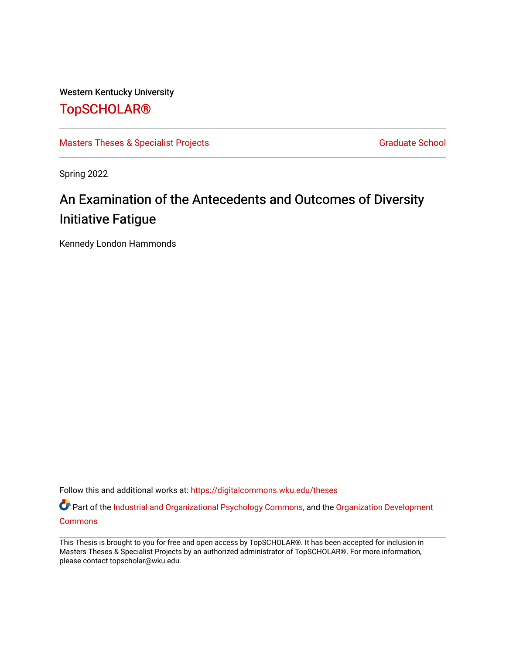Western Kentucky University

## [TopSCHOLAR®](https://digitalcommons.wku.edu/)

[Masters Theses & Specialist Projects](https://digitalcommons.wku.edu/theses) [Graduate School](https://digitalcommons.wku.edu/Graduate) Graduate School

Spring 2022

# An Examination of the Antecedents and Outcomes of Diversity Initiative Fatigue

Kennedy London Hammonds

Follow this and additional works at: [https://digitalcommons.wku.edu/theses](https://digitalcommons.wku.edu/theses?utm_source=digitalcommons.wku.edu%2Ftheses%2F3575&utm_medium=PDF&utm_campaign=PDFCoverPages) 

Part of the [Industrial and Organizational Psychology Commons,](http://network.bepress.com/hgg/discipline/412?utm_source=digitalcommons.wku.edu%2Ftheses%2F3575&utm_medium=PDF&utm_campaign=PDFCoverPages) and the [Organization Development](http://network.bepress.com/hgg/discipline/1242?utm_source=digitalcommons.wku.edu%2Ftheses%2F3575&utm_medium=PDF&utm_campaign=PDFCoverPages) **[Commons](http://network.bepress.com/hgg/discipline/1242?utm_source=digitalcommons.wku.edu%2Ftheses%2F3575&utm_medium=PDF&utm_campaign=PDFCoverPages)** 

This Thesis is brought to you for free and open access by TopSCHOLAR®. It has been accepted for inclusion in Masters Theses & Specialist Projects by an authorized administrator of TopSCHOLAR®. For more information, please contact topscholar@wku.edu.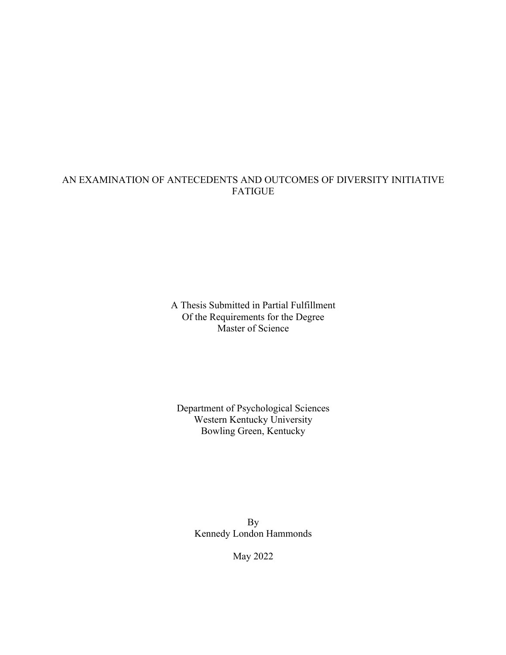### AN EXAMINATION OF ANTECEDENTS AND OUTCOMES OF DIVERSITY INITIATIVE FATIGUE

A Thesis Submitted in Partial Fulfillment Of the Requirements for the Degree Master of Science

### Department of Psychological Sciences Western Kentucky University Bowling Green, Kentucky

By Kennedy London Hammonds

May 2022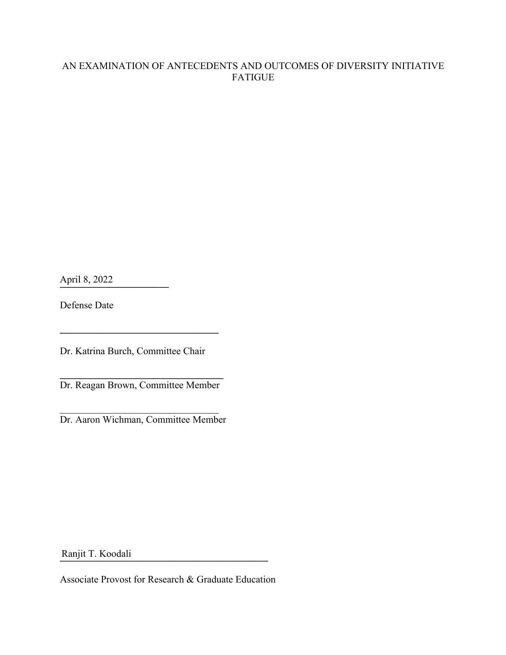### AN EXAMINATION OF ANTECEDENTS AND OUTCOMES OF DIVERSITY INITIATIVE FATIGUE

**\_\_\_\_\_\_\_\_\_\_\_\_\_\_\_\_\_\_\_\_\_\_** April 8, 2022

Defense Date

Dr. Katrina Burch, Committee Chair

**\_\_\_\_\_\_\_\_\_\_\_\_\_\_\_\_\_\_\_\_\_\_\_\_\_\_\_\_\_\_\_\_**

**\_\_\_\_\_\_\_\_\_\_\_\_\_\_\_\_\_\_\_\_\_\_\_\_\_\_\_\_\_\_\_\_\_** Dr. Reagan Brown, Committee Member

Dr. Aaron Wichman, Committee Member

**\_\_\_\_\_\_\_\_\_\_\_\_\_\_\_\_\_\_\_\_\_\_\_\_\_\_\_\_\_\_\_\_\_\_\_\_\_\_\_\_\_\_** Ranjit T. Koodali

Associate Provost for Research & Graduate Education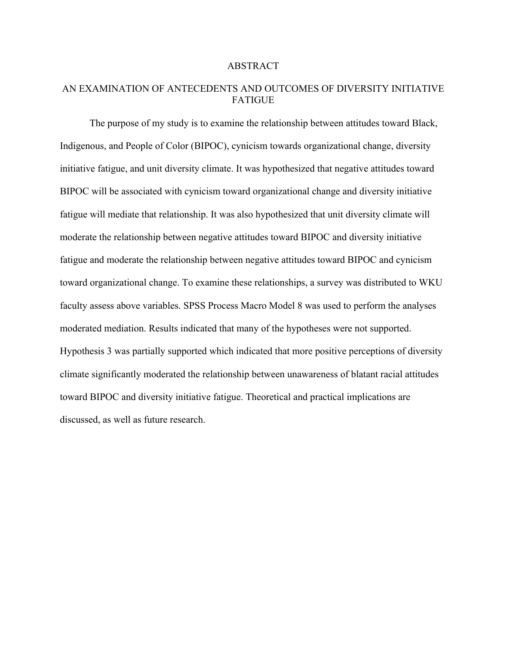#### ABSTRACT

### AN EXAMINATION OF ANTECEDENTS AND OUTCOMES OF DIVERSITY INITIATIVE FATIGUE

The purpose of my study is to examine the relationship between attitudes toward Black, Indigenous, and People of Color (BIPOC), cynicism towards organizational change, diversity initiative fatigue, and unit diversity climate. It was hypothesized that negative attitudes toward BIPOC will be associated with cynicism toward organizational change and diversity initiative fatigue will mediate that relationship. It was also hypothesized that unit diversity climate will moderate the relationship between negative attitudes toward BIPOC and diversity initiative fatigue and moderate the relationship between negative attitudes toward BIPOC and cynicism toward organizational change. To examine these relationships, a survey was distributed to WKU faculty assess above variables. SPSS Process Macro Model 8 was used to perform the analyses moderated mediation. Results indicated that many of the hypotheses were not supported. Hypothesis 3 was partially supported which indicated that more positive perceptions of diversity climate significantly moderated the relationship between unawareness of blatant racial attitudes toward BIPOC and diversity initiative fatigue. Theoretical and practical implications are discussed, as well as future research.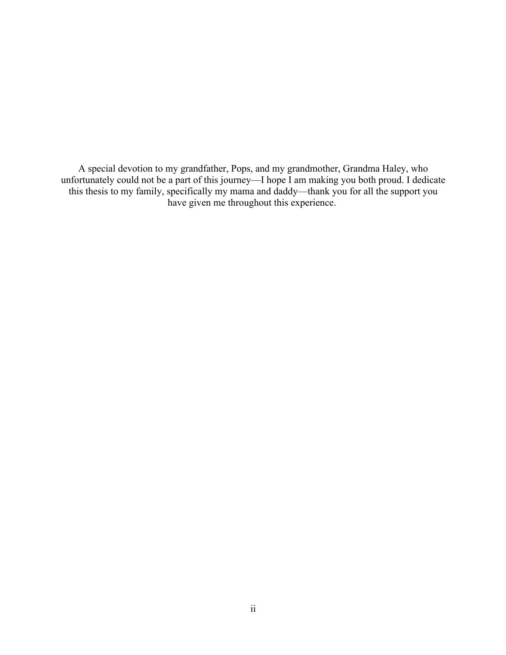A special devotion to my grandfather, Pops, and my grandmother, Grandma Haley, who unfortunately could not be a part of this journey—I hope I am making you both proud. I dedicate this thesis to my family, specifically my mama and daddy—thank you for all the support you have given me throughout this experience.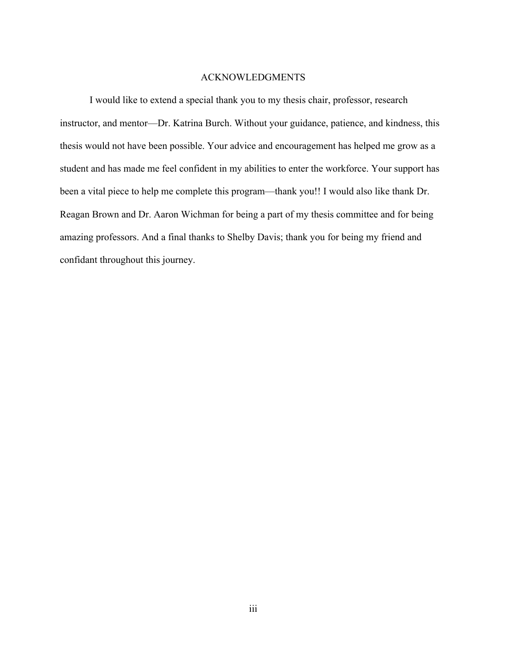#### ACKNOWLEDGMENTS

I would like to extend a special thank you to my thesis chair, professor, research instructor, and mentor—Dr. Katrina Burch. Without your guidance, patience, and kindness, this thesis would not have been possible. Your advice and encouragement has helped me grow as a student and has made me feel confident in my abilities to enter the workforce. Your support has been a vital piece to help me complete this program—thank you!! I would also like thank Dr. Reagan Brown and Dr. Aaron Wichman for being a part of my thesis committee and for being amazing professors. And a final thanks to Shelby Davis; thank you for being my friend and confidant throughout this journey.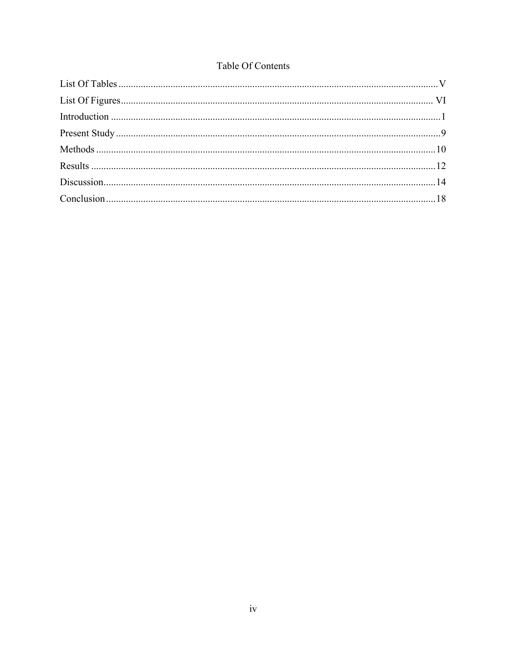## Table Of Contents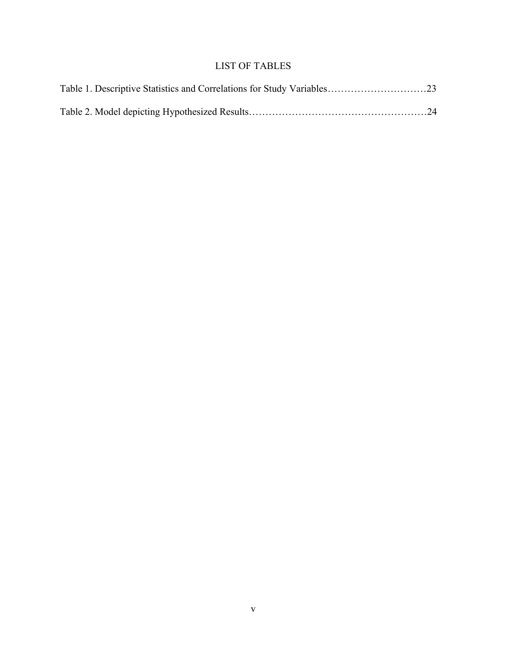## LIST OF TABLES

| Table 1. Descriptive Statistics and Correlations for Study Variables23 |  |
|------------------------------------------------------------------------|--|
|                                                                        |  |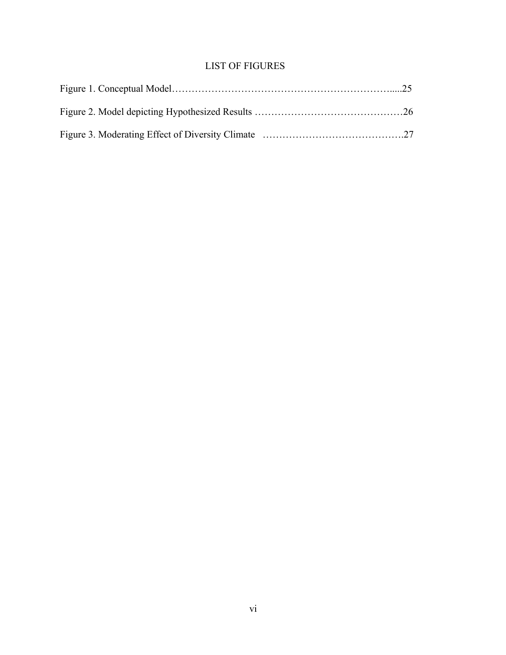## LIST OF FIGURES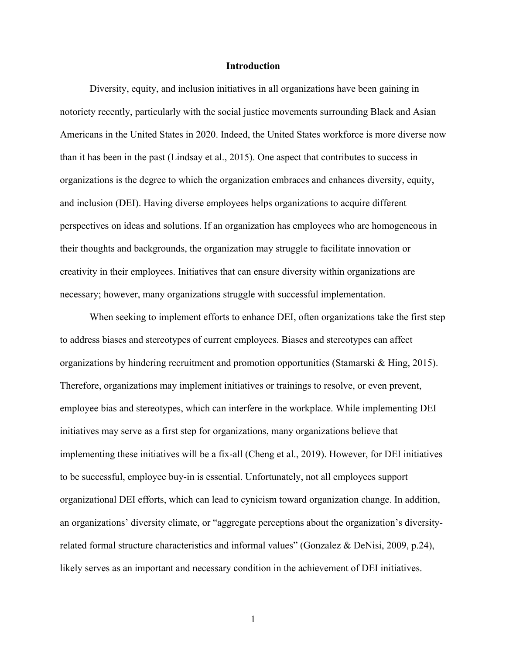#### **Introduction**

Diversity, equity, and inclusion initiatives in all organizations have been gaining in notoriety recently, particularly with the social justice movements surrounding Black and Asian Americans in the United States in 2020. Indeed, the United States workforce is more diverse now than it has been in the past (Lindsay et al., 2015). One aspect that contributes to success in organizations is the degree to which the organization embraces and enhances diversity, equity, and inclusion (DEI). Having diverse employees helps organizations to acquire different perspectives on ideas and solutions. If an organization has employees who are homogeneous in their thoughts and backgrounds, the organization may struggle to facilitate innovation or creativity in their employees. Initiatives that can ensure diversity within organizations are necessary; however, many organizations struggle with successful implementation.

When seeking to implement efforts to enhance DEI, often organizations take the first step to address biases and stereotypes of current employees. Biases and stereotypes can affect organizations by hindering recruitment and promotion opportunities (Stamarski & Hing, 2015). Therefore, organizations may implement initiatives or trainings to resolve, or even prevent, employee bias and stereotypes, which can interfere in the workplace. While implementing DEI initiatives may serve as a first step for organizations, many organizations believe that implementing these initiatives will be a fix-all (Cheng et al., 2019). However, for DEI initiatives to be successful, employee buy-in is essential. Unfortunately, not all employees support organizational DEI efforts, which can lead to cynicism toward organization change. In addition, an organizations' diversity climate, or "aggregate perceptions about the organization's diversityrelated formal structure characteristics and informal values" (Gonzalez & DeNisi, 2009, p.24), likely serves as an important and necessary condition in the achievement of DEI initiatives.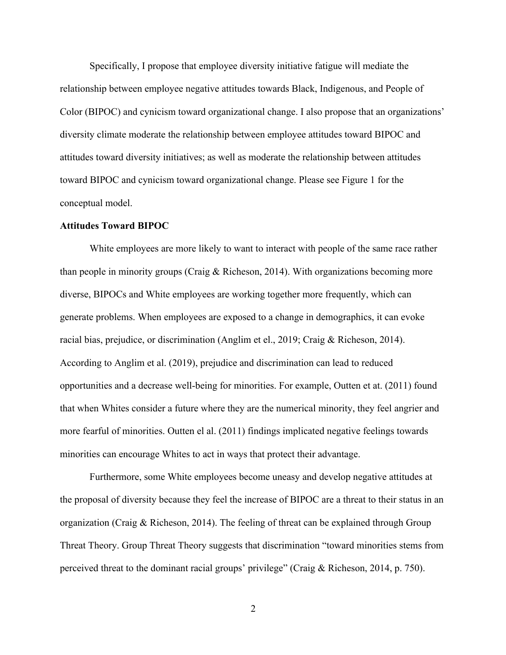Specifically, I propose that employee diversity initiative fatigue will mediate the relationship between employee negative attitudes towards Black, Indigenous, and People of Color (BIPOC) and cynicism toward organizational change. I also propose that an organizations' diversity climate moderate the relationship between employee attitudes toward BIPOC and attitudes toward diversity initiatives; as well as moderate the relationship between attitudes toward BIPOC and cynicism toward organizational change. Please see Figure 1 for the conceptual model.

#### **Attitudes Toward BIPOC**

White employees are more likely to want to interact with people of the same race rather than people in minority groups (Craig & Richeson, 2014). With organizations becoming more diverse, BIPOCs and White employees are working together more frequently, which can generate problems. When employees are exposed to a change in demographics, it can evoke racial bias, prejudice, or discrimination (Anglim et el., 2019; Craig & Richeson, 2014). According to Anglim et al. (2019), prejudice and discrimination can lead to reduced opportunities and a decrease well-being for minorities. For example, Outten et at. (2011) found that when Whites consider a future where they are the numerical minority, they feel angrier and more fearful of minorities. Outten el al. (2011) findings implicated negative feelings towards minorities can encourage Whites to act in ways that protect their advantage.

Furthermore, some White employees become uneasy and develop negative attitudes at the proposal of diversity because they feel the increase of BIPOC are a threat to their status in an organization (Craig & Richeson, 2014). The feeling of threat can be explained through Group Threat Theory. Group Threat Theory suggests that discrimination "toward minorities stems from perceived threat to the dominant racial groups' privilege" (Craig & Richeson, 2014, p. 750).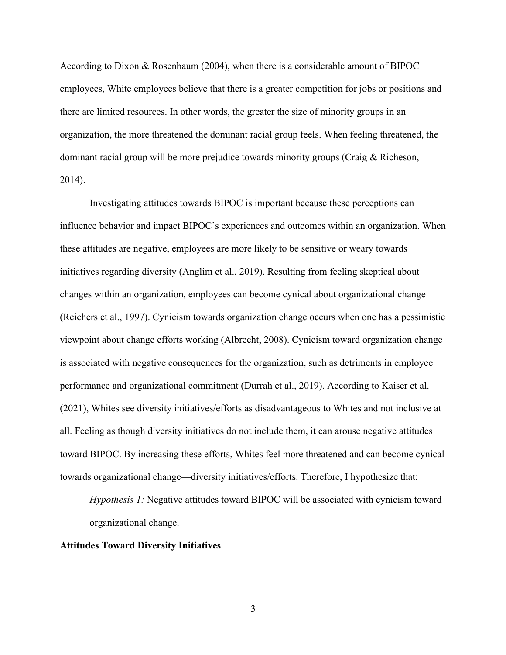According to Dixon & Rosenbaum (2004), when there is a considerable amount of BIPOC employees, White employees believe that there is a greater competition for jobs or positions and there are limited resources. In other words, the greater the size of minority groups in an organization, the more threatened the dominant racial group feels. When feeling threatened, the dominant racial group will be more prejudice towards minority groups (Craig & Richeson, 2014).

Investigating attitudes towards BIPOC is important because these perceptions can influence behavior and impact BIPOC's experiences and outcomes within an organization. When these attitudes are negative, employees are more likely to be sensitive or weary towards initiatives regarding diversity (Anglim et al., 2019). Resulting from feeling skeptical about changes within an organization, employees can become cynical about organizational change (Reichers et al., 1997). Cynicism towards organization change occurs when one has a pessimistic viewpoint about change efforts working (Albrecht, 2008). Cynicism toward organization change is associated with negative consequences for the organization, such as detriments in employee performance and organizational commitment (Durrah et al., 2019). According to Kaiser et al. (2021), Whites see diversity initiatives/efforts as disadvantageous to Whites and not inclusive at all. Feeling as though diversity initiatives do not include them, it can arouse negative attitudes toward BIPOC. By increasing these efforts, Whites feel more threatened and can become cynical towards organizational change—diversity initiatives/efforts. Therefore, I hypothesize that:

*Hypothesis 1:* Negative attitudes toward BIPOC will be associated with cynicism toward organizational change.

#### **Attitudes Toward Diversity Initiatives**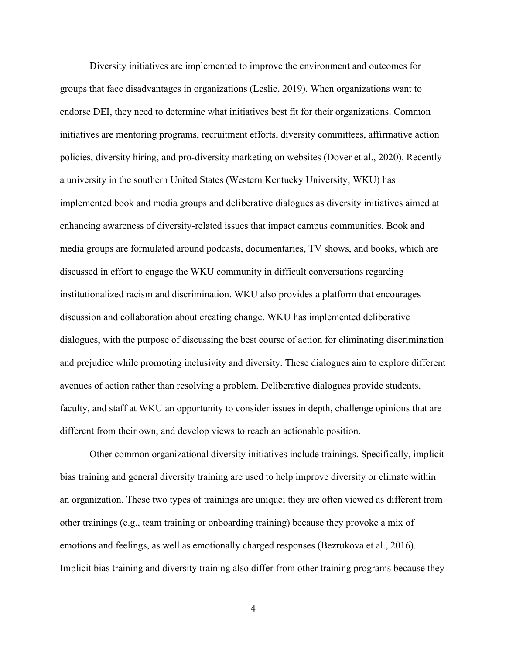Diversity initiatives are implemented to improve the environment and outcomes for groups that face disadvantages in organizations (Leslie, 2019). When organizations want to endorse DEI, they need to determine what initiatives best fit for their organizations. Common initiatives are mentoring programs, recruitment efforts, diversity committees, affirmative action policies, diversity hiring, and pro-diversity marketing on websites (Dover et al., 2020). Recently a university in the southern United States (Western Kentucky University; WKU) has implemented book and media groups and deliberative dialogues as diversity initiatives aimed at enhancing awareness of diversity-related issues that impact campus communities. Book and media groups are formulated around podcasts, documentaries, TV shows, and books, which are discussed in effort to engage the WKU community in difficult conversations regarding institutionalized racism and discrimination. WKU also provides a platform that encourages discussion and collaboration about creating change. WKU has implemented deliberative dialogues, with the purpose of discussing the best course of action for eliminating discrimination and prejudice while promoting inclusivity and diversity. These dialogues aim to explore different avenues of action rather than resolving a problem. Deliberative dialogues provide students, faculty, and staff at WKU an opportunity to consider issues in depth, challenge opinions that are different from their own, and develop views to reach an actionable position.

Other common organizational diversity initiatives include trainings. Specifically, implicit bias training and general diversity training are used to help improve diversity or climate within an organization. These two types of trainings are unique; they are often viewed as different from other trainings (e.g., team training or onboarding training) because they provoke a mix of emotions and feelings, as well as emotionally charged responses (Bezrukova et al., 2016). Implicit bias training and diversity training also differ from other training programs because they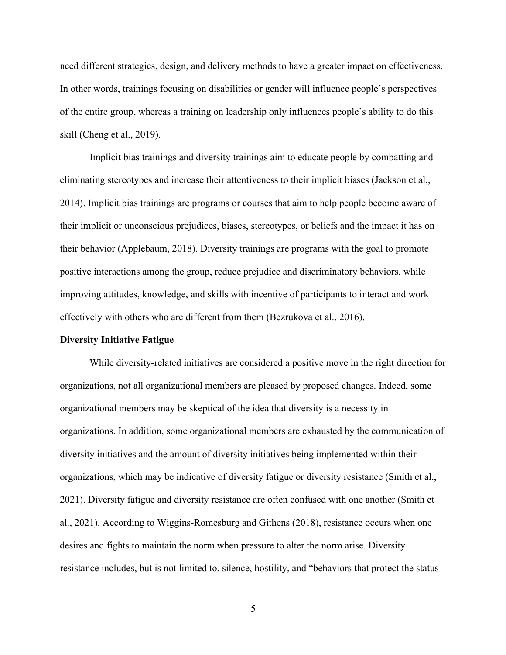need different strategies, design, and delivery methods to have a greater impact on effectiveness. In other words, trainings focusing on disabilities or gender will influence people's perspectives of the entire group, whereas a training on leadership only influences people's ability to do this skill (Cheng et al., 2019).

Implicit bias trainings and diversity trainings aim to educate people by combatting and eliminating stereotypes and increase their attentiveness to their implicit biases (Jackson et al., 2014). Implicit bias trainings are programs or courses that aim to help people become aware of their implicit or unconscious prejudices, biases, stereotypes, or beliefs and the impact it has on their behavior (Applebaum, 2018). Diversity trainings are programs with the goal to promote positive interactions among the group, reduce prejudice and discriminatory behaviors, while improving attitudes, knowledge, and skills with incentive of participants to interact and work effectively with others who are different from them (Bezrukova et al., 2016).

#### **Diversity Initiative Fatigue**

While diversity-related initiatives are considered a positive move in the right direction for organizations, not all organizational members are pleased by proposed changes. Indeed, some organizational members may be skeptical of the idea that diversity is a necessity in organizations. In addition, some organizational members are exhausted by the communication of diversity initiatives and the amount of diversity initiatives being implemented within their organizations, which may be indicative of diversity fatigue or diversity resistance (Smith et al., 2021). Diversity fatigue and diversity resistance are often confused with one another (Smith et al., 2021). According to Wiggins-Romesburg and Githens (2018), resistance occurs when one desires and fights to maintain the norm when pressure to alter the norm arise. Diversity resistance includes, but is not limited to, silence, hostility, and "behaviors that protect the status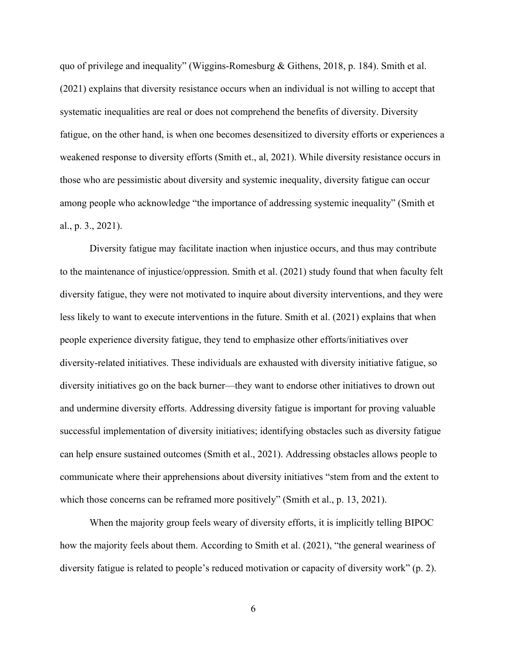quo of privilege and inequality" (Wiggins-Romesburg & Githens, 2018, p. 184). Smith et al. (2021) explains that diversity resistance occurs when an individual is not willing to accept that systematic inequalities are real or does not comprehend the benefits of diversity. Diversity fatigue, on the other hand, is when one becomes desensitized to diversity efforts or experiences a weakened response to diversity efforts (Smith et., al, 2021). While diversity resistance occurs in those who are pessimistic about diversity and systemic inequality, diversity fatigue can occur among people who acknowledge "the importance of addressing systemic inequality" (Smith et al., p. 3., 2021).

Diversity fatigue may facilitate inaction when injustice occurs, and thus may contribute to the maintenance of injustice/oppression. Smith et al. (2021) study found that when faculty felt diversity fatigue, they were not motivated to inquire about diversity interventions, and they were less likely to want to execute interventions in the future. Smith et al. (2021) explains that when people experience diversity fatigue, they tend to emphasize other efforts/initiatives over diversity-related initiatives. These individuals are exhausted with diversity initiative fatigue, so diversity initiatives go on the back burner—they want to endorse other initiatives to drown out and undermine diversity efforts. Addressing diversity fatigue is important for proving valuable successful implementation of diversity initiatives; identifying obstacles such as diversity fatigue can help ensure sustained outcomes (Smith et al., 2021). Addressing obstacles allows people to communicate where their apprehensions about diversity initiatives "stem from and the extent to which those concerns can be reframed more positively" (Smith et al., p. 13, 2021).

When the majority group feels weary of diversity efforts, it is implicitly telling BIPOC how the majority feels about them. According to Smith et al. (2021), "the general weariness of diversity fatigue is related to people's reduced motivation or capacity of diversity work" (p. 2).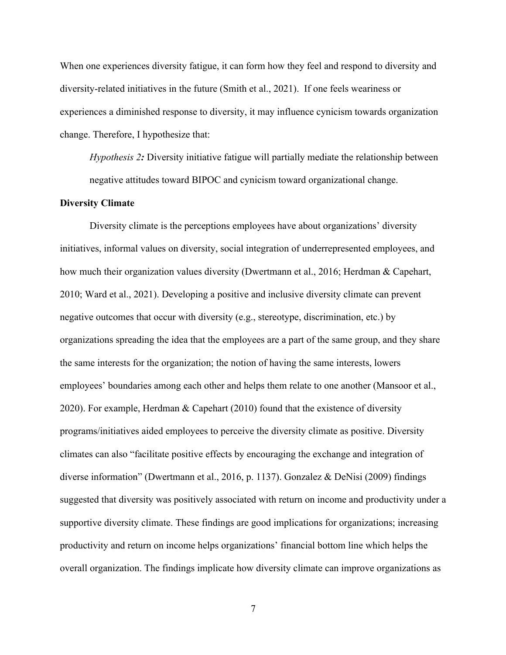When one experiences diversity fatigue, it can form how they feel and respond to diversity and diversity-related initiatives in the future (Smith et al., 2021). If one feels weariness or experiences a diminished response to diversity, it may influence cynicism towards organization change. Therefore, I hypothesize that:

*Hypothesis 2:* Diversity initiative fatigue will partially mediate the relationship between negative attitudes toward BIPOC and cynicism toward organizational change.

#### **Diversity Climate**

Diversity climate is the perceptions employees have about organizations' diversity initiatives, informal values on diversity, social integration of underrepresented employees, and how much their organization values diversity (Dwertmann et al., 2016; Herdman & Capehart, 2010; Ward et al., 2021). Developing a positive and inclusive diversity climate can prevent negative outcomes that occur with diversity (e.g., stereotype, discrimination, etc.) by organizations spreading the idea that the employees are a part of the same group, and they share the same interests for the organization; the notion of having the same interests, lowers employees' boundaries among each other and helps them relate to one another (Mansoor et al., 2020). For example, Herdman & Capehart (2010) found that the existence of diversity programs/initiatives aided employees to perceive the diversity climate as positive. Diversity climates can also "facilitate positive effects by encouraging the exchange and integration of diverse information" (Dwertmann et al., 2016, p. 1137). Gonzalez & DeNisi (2009) findings suggested that diversity was positively associated with return on income and productivity under a supportive diversity climate. These findings are good implications for organizations; increasing productivity and return on income helps organizations' financial bottom line which helps the overall organization. The findings implicate how diversity climate can improve organizations as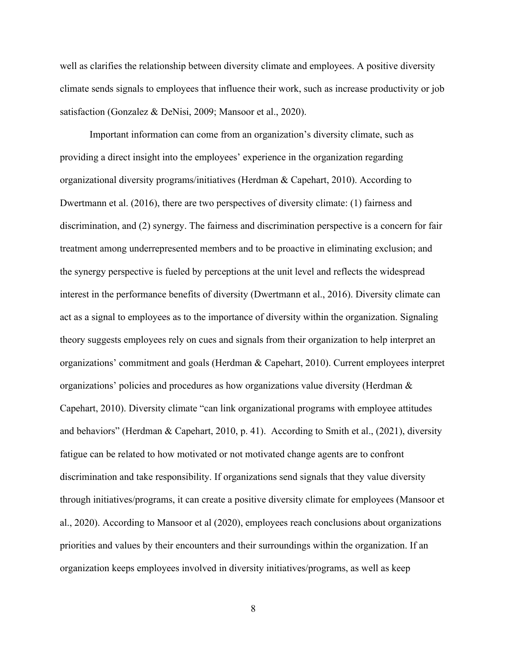well as clarifies the relationship between diversity climate and employees. A positive diversity climate sends signals to employees that influence their work, such as increase productivity or job satisfaction (Gonzalez & DeNisi, 2009; Mansoor et al., 2020).

Important information can come from an organization's diversity climate, such as providing a direct insight into the employees' experience in the organization regarding organizational diversity programs/initiatives (Herdman & Capehart, 2010). According to Dwertmann et al. (2016), there are two perspectives of diversity climate: (1) fairness and discrimination, and (2) synergy. The fairness and discrimination perspective is a concern for fair treatment among underrepresented members and to be proactive in eliminating exclusion; and the synergy perspective is fueled by perceptions at the unit level and reflects the widespread interest in the performance benefits of diversity (Dwertmann et al., 2016). Diversity climate can act as a signal to employees as to the importance of diversity within the organization. Signaling theory suggests employees rely on cues and signals from their organization to help interpret an organizations' commitment and goals (Herdman & Capehart, 2010). Current employees interpret organizations' policies and procedures as how organizations value diversity (Herdman  $\&$ Capehart, 2010). Diversity climate "can link organizational programs with employee attitudes and behaviors" (Herdman & Capehart, 2010, p. 41). According to Smith et al., (2021), diversity fatigue can be related to how motivated or not motivated change agents are to confront discrimination and take responsibility. If organizations send signals that they value diversity through initiatives/programs, it can create a positive diversity climate for employees (Mansoor et al., 2020). According to Mansoor et al (2020), employees reach conclusions about organizations priorities and values by their encounters and their surroundings within the organization. If an organization keeps employees involved in diversity initiatives/programs, as well as keep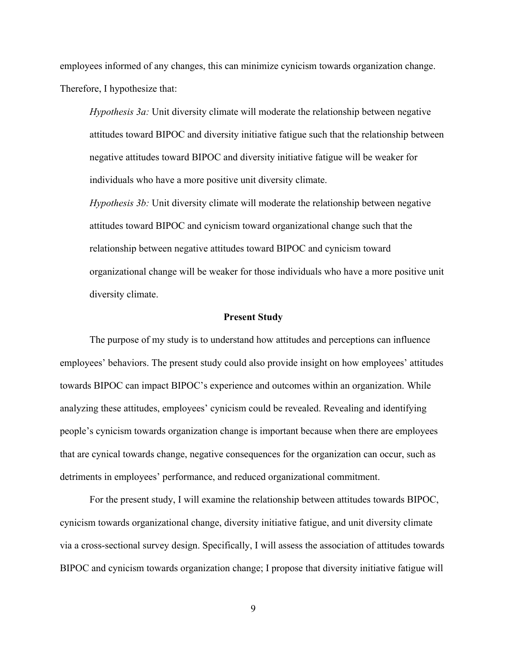employees informed of any changes, this can minimize cynicism towards organization change. Therefore, I hypothesize that:

*Hypothesis 3a:* Unit diversity climate will moderate the relationship between negative attitudes toward BIPOC and diversity initiative fatigue such that the relationship between negative attitudes toward BIPOC and diversity initiative fatigue will be weaker for individuals who have a more positive unit diversity climate.

*Hypothesis 3b:* Unit diversity climate will moderate the relationship between negative attitudes toward BIPOC and cynicism toward organizational change such that the relationship between negative attitudes toward BIPOC and cynicism toward organizational change will be weaker for those individuals who have a more positive unit diversity climate.

#### **Present Study**

The purpose of my study is to understand how attitudes and perceptions can influence employees' behaviors. The present study could also provide insight on how employees' attitudes towards BIPOC can impact BIPOC's experience and outcomes within an organization. While analyzing these attitudes, employees' cynicism could be revealed. Revealing and identifying people's cynicism towards organization change is important because when there are employees that are cynical towards change, negative consequences for the organization can occur, such as detriments in employees' performance, and reduced organizational commitment.

For the present study, I will examine the relationship between attitudes towards BIPOC, cynicism towards organizational change, diversity initiative fatigue, and unit diversity climate via a cross-sectional survey design. Specifically, I will assess the association of attitudes towards BIPOC and cynicism towards organization change; I propose that diversity initiative fatigue will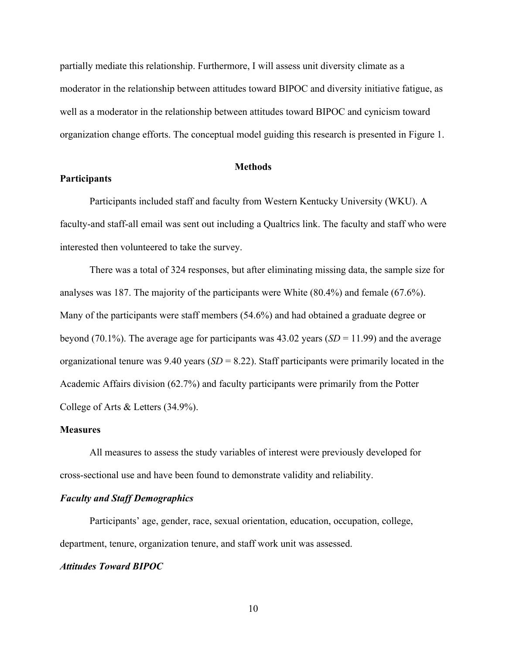partially mediate this relationship. Furthermore, I will assess unit diversity climate as a moderator in the relationship between attitudes toward BIPOC and diversity initiative fatigue, as well as a moderator in the relationship between attitudes toward BIPOC and cynicism toward organization change efforts. The conceptual model guiding this research is presented in Figure 1.

#### **Methods**

#### **Participants**

Participants included staff and faculty from Western Kentucky University (WKU). A faculty-and staff-all email was sent out including a Qualtrics link. The faculty and staff who were interested then volunteered to take the survey.

There was a total of 324 responses, but after eliminating missing data, the sample size for analyses was 187. The majority of the participants were White (80.4%) and female (67.6%). Many of the participants were staff members (54.6%) and had obtained a graduate degree or beyond (70.1%). The average age for participants was 43.02 years (*SD* = 11.99) and the average organizational tenure was 9.40 years (*SD* = 8.22). Staff participants were primarily located in the Academic Affairs division (62.7%) and faculty participants were primarily from the Potter College of Arts & Letters (34.9%).

#### **Measures**

All measures to assess the study variables of interest were previously developed for cross-sectional use and have been found to demonstrate validity and reliability.

#### *Faculty and Staff Demographics*

Participants' age, gender, race, sexual orientation, education, occupation, college, department, tenure, organization tenure, and staff work unit was assessed.

#### *Attitudes Toward BIPOC*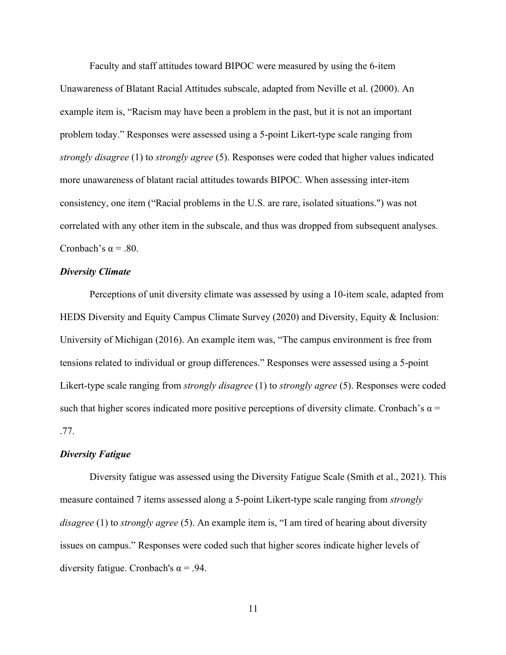Faculty and staff attitudes toward BIPOC were measured by using the 6-item Unawareness of Blatant Racial Attitudes subscale, adapted from Neville et al. (2000). An example item is, "Racism may have been a problem in the past, but it is not an important problem today." Responses were assessed using a 5-point Likert-type scale ranging from *strongly disagree* (1) to *strongly agree* (5). Responses were coded that higher values indicated more unawareness of blatant racial attitudes towards BIPOC. When assessing inter-item consistency, one item ("Racial problems in the U.S. are rare, isolated situations.") was not correlated with any other item in the subscale, and thus was dropped from subsequent analyses. Cronbach's  $\alpha$  = .80.

#### *Diversity Climate*

Perceptions of unit diversity climate was assessed by using a 10-item scale, adapted from HEDS Diversity and Equity Campus Climate Survey (2020) and Diversity, Equity & Inclusion: University of Michigan (2016). An example item was, "The campus environment is free from tensions related to individual or group differences." Responses were assessed using a 5-point Likert-type scale ranging from *strongly disagree* (1) to *strongly agree* (5). Responses were coded such that higher scores indicated more positive perceptions of diversity climate. Cronbach's  $\alpha$  = .77.

#### *Diversity Fatigue*

Diversity fatigue was assessed using the Diversity Fatigue Scale (Smith et al., 2021). This measure contained 7 items assessed along a 5-point Likert-type scale ranging from *strongly disagree* (1) to *strongly agree* (5). An example item is, "I am tired of hearing about diversity issues on campus." Responses were coded such that higher scores indicate higher levels of diversity fatigue. Cronbach's  $\alpha$  = .94.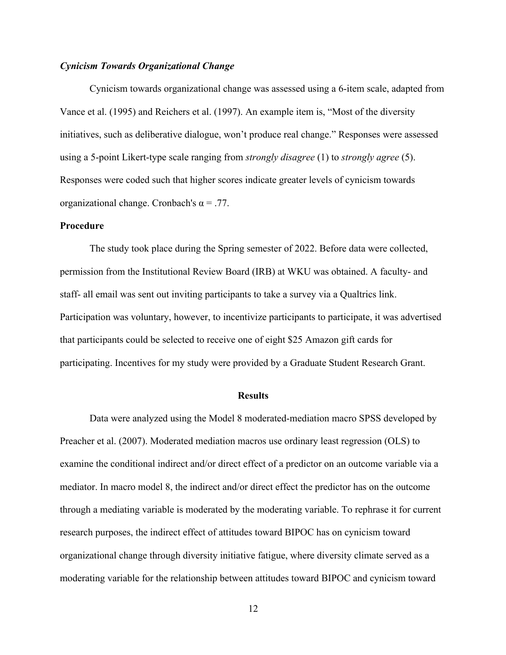#### *Cynicism Towards Organizational Change*

Cynicism towards organizational change was assessed using a 6-item scale, adapted from Vance et al. (1995) and Reichers et al. (1997). An example item is, "Most of the diversity initiatives, such as deliberative dialogue, won't produce real change." Responses were assessed using a 5-point Likert-type scale ranging from *strongly disagree* (1) to *strongly agree* (5). Responses were coded such that higher scores indicate greater levels of cynicism towards organizational change. Cronbach's  $\alpha = .77$ .

#### **Procedure**

The study took place during the Spring semester of 2022. Before data were collected, permission from the Institutional Review Board (IRB) at WKU was obtained. A faculty- and staff- all email was sent out inviting participants to take a survey via a Qualtrics link. Participation was voluntary, however, to incentivize participants to participate, it was advertised that participants could be selected to receive one of eight \$25 Amazon gift cards for participating. Incentives for my study were provided by a Graduate Student Research Grant.

#### **Results**

Data were analyzed using the Model 8 moderated-mediation macro SPSS developed by Preacher et al. (2007). Moderated mediation macros use ordinary least regression (OLS) to examine the conditional indirect and/or direct effect of a predictor on an outcome variable via a mediator. In macro model 8, the indirect and/or direct effect the predictor has on the outcome through a mediating variable is moderated by the moderating variable. To rephrase it for current research purposes, the indirect effect of attitudes toward BIPOC has on cynicism toward organizational change through diversity initiative fatigue, where diversity climate served as a moderating variable for the relationship between attitudes toward BIPOC and cynicism toward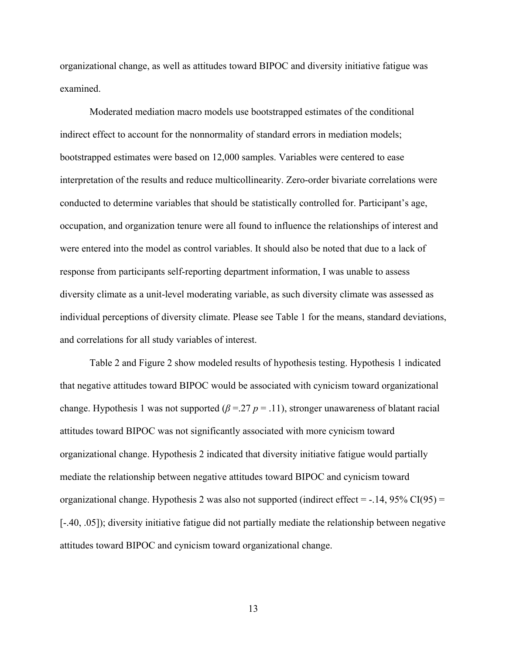organizational change, as well as attitudes toward BIPOC and diversity initiative fatigue was examined.

Moderated mediation macro models use bootstrapped estimates of the conditional indirect effect to account for the nonnormality of standard errors in mediation models; bootstrapped estimates were based on 12,000 samples. Variables were centered to ease interpretation of the results and reduce multicollinearity. Zero-order bivariate correlations were conducted to determine variables that should be statistically controlled for. Participant's age, occupation, and organization tenure were all found to influence the relationships of interest and were entered into the model as control variables. It should also be noted that due to a lack of response from participants self-reporting department information, I was unable to assess diversity climate as a unit-level moderating variable, as such diversity climate was assessed as individual perceptions of diversity climate. Please see Table 1 for the means, standard deviations, and correlations for all study variables of interest.

Table 2 and Figure 2 show modeled results of hypothesis testing. Hypothesis 1 indicated that negative attitudes toward BIPOC would be associated with cynicism toward organizational change. Hypothesis 1 was not supported (*β* =.27 *p* = .11), stronger unawareness of blatant racial attitudes toward BIPOC was not significantly associated with more cynicism toward organizational change. Hypothesis 2 indicated that diversity initiative fatigue would partially mediate the relationship between negative attitudes toward BIPOC and cynicism toward organizational change. Hypothesis 2 was also not supported (indirect effect =  $-.14$ , 95% CI(95) = [-.40, .05]); diversity initiative fatigue did not partially mediate the relationship between negative attitudes toward BIPOC and cynicism toward organizational change.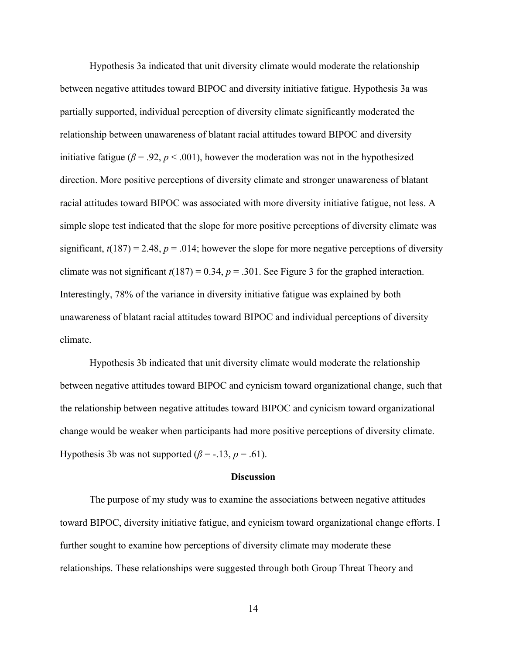Hypothesis 3a indicated that unit diversity climate would moderate the relationship between negative attitudes toward BIPOC and diversity initiative fatigue. Hypothesis 3a was partially supported, individual perception of diversity climate significantly moderated the relationship between unawareness of blatant racial attitudes toward BIPOC and diversity initiative fatigue ( $\beta$  = .92,  $p$  < .001), however the moderation was not in the hypothesized direction. More positive perceptions of diversity climate and stronger unawareness of blatant racial attitudes toward BIPOC was associated with more diversity initiative fatigue, not less. A simple slope test indicated that the slope for more positive perceptions of diversity climate was significant,  $t(187) = 2.48$ ,  $p = .014$ ; however the slope for more negative perceptions of diversity climate was not significant  $t(187) = 0.34$ ,  $p = .301$ . See Figure 3 for the graphed interaction. Interestingly, 78% of the variance in diversity initiative fatigue was explained by both unawareness of blatant racial attitudes toward BIPOC and individual perceptions of diversity climate.

Hypothesis 3b indicated that unit diversity climate would moderate the relationship between negative attitudes toward BIPOC and cynicism toward organizational change, such that the relationship between negative attitudes toward BIPOC and cynicism toward organizational change would be weaker when participants had more positive perceptions of diversity climate. Hypothesis 3b was not supported ( $\beta$  = -.13,  $p$  = .61).

#### **Discussion**

The purpose of my study was to examine the associations between negative attitudes toward BIPOC, diversity initiative fatigue, and cynicism toward organizational change efforts. I further sought to examine how perceptions of diversity climate may moderate these relationships. These relationships were suggested through both Group Threat Theory and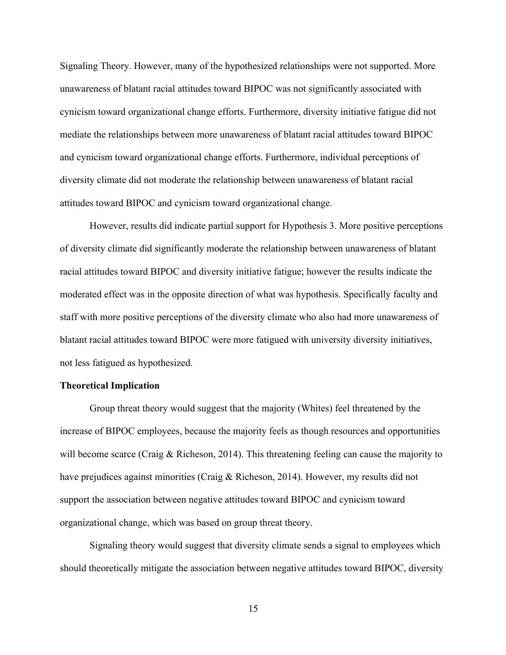Signaling Theory. However, many of the hypothesized relationships were not supported. More unawareness of blatant racial attitudes toward BIPOC was not significantly associated with cynicism toward organizational change efforts. Furthermore, diversity initiative fatigue did not mediate the relationships between more unawareness of blatant racial attitudes toward BIPOC and cynicism toward organizational change efforts. Furthermore, individual perceptions of diversity climate did not moderate the relationship between unawareness of blatant racial attitudes toward BIPOC and cynicism toward organizational change.

However, results did indicate partial support for Hypothesis 3. More positive perceptions of diversity climate did significantly moderate the relationship between unawareness of blatant racial attitudes toward BIPOC and diversity initiative fatigue; however the results indicate the moderated effect was in the opposite direction of what was hypothesis. Specifically faculty and staff with more positive perceptions of the diversity climate who also had more unawareness of blatant racial attitudes toward BIPOC were more fatigued with university diversity initiatives, not less fatigued as hypothesized.

#### **Theoretical Implication**

Group threat theory would suggest that the majority (Whites) feel threatened by the increase of BIPOC employees, because the majority feels as though resources and opportunities will become scarce (Craig & Richeson, 2014). This threatening feeling can cause the majority to have prejudices against minorities (Craig & Richeson, 2014). However, my results did not support the association between negative attitudes toward BIPOC and cynicism toward organizational change, which was based on group threat theory.

Signaling theory would suggest that diversity climate sends a signal to employees which should theoretically mitigate the association between negative attitudes toward BIPOC, diversity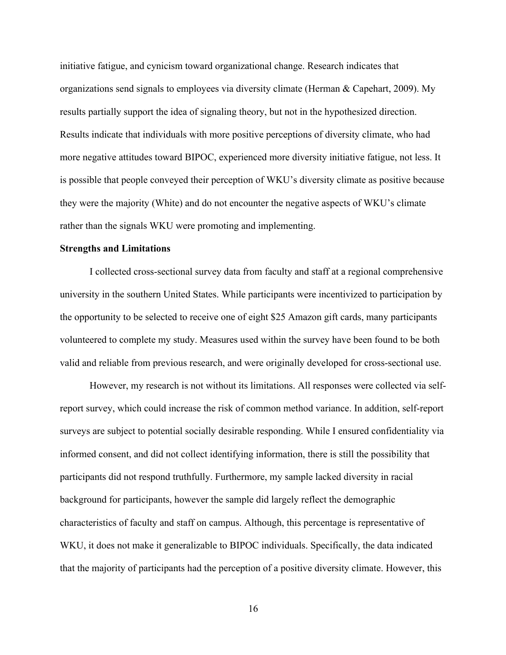initiative fatigue, and cynicism toward organizational change. Research indicates that organizations send signals to employees via diversity climate (Herman & Capehart, 2009). My results partially support the idea of signaling theory, but not in the hypothesized direction. Results indicate that individuals with more positive perceptions of diversity climate, who had more negative attitudes toward BIPOC, experienced more diversity initiative fatigue, not less. It is possible that people conveyed their perception of WKU's diversity climate as positive because they were the majority (White) and do not encounter the negative aspects of WKU's climate rather than the signals WKU were promoting and implementing.

#### **Strengths and Limitations**

I collected cross-sectional survey data from faculty and staff at a regional comprehensive university in the southern United States. While participants were incentivized to participation by the opportunity to be selected to receive one of eight \$25 Amazon gift cards, many participants volunteered to complete my study. Measures used within the survey have been found to be both valid and reliable from previous research, and were originally developed for cross-sectional use.

However, my research is not without its limitations. All responses were collected via selfreport survey, which could increase the risk of common method variance. In addition, self-report surveys are subject to potential socially desirable responding. While I ensured confidentiality via informed consent, and did not collect identifying information, there is still the possibility that participants did not respond truthfully. Furthermore, my sample lacked diversity in racial background for participants, however the sample did largely reflect the demographic characteristics of faculty and staff on campus. Although, this percentage is representative of WKU, it does not make it generalizable to BIPOC individuals. Specifically, the data indicated that the majority of participants had the perception of a positive diversity climate. However, this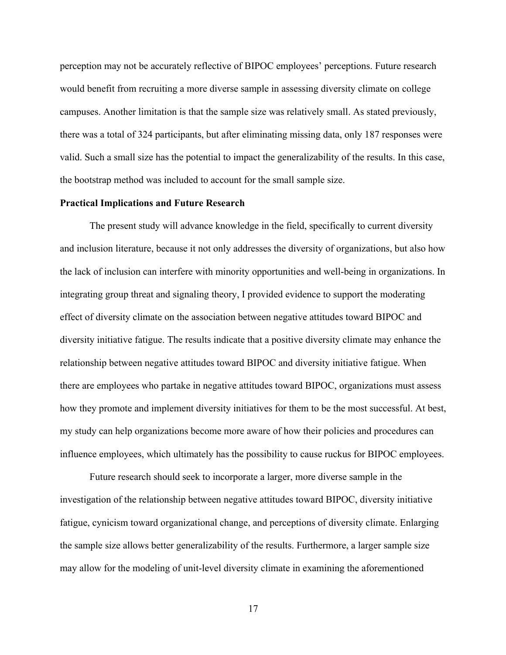perception may not be accurately reflective of BIPOC employees' perceptions. Future research would benefit from recruiting a more diverse sample in assessing diversity climate on college campuses. Another limitation is that the sample size was relatively small. As stated previously, there was a total of 324 participants, but after eliminating missing data, only 187 responses were valid. Such a small size has the potential to impact the generalizability of the results. In this case, the bootstrap method was included to account for the small sample size.

#### **Practical Implications and Future Research**

The present study will advance knowledge in the field, specifically to current diversity and inclusion literature, because it not only addresses the diversity of organizations, but also how the lack of inclusion can interfere with minority opportunities and well-being in organizations. In integrating group threat and signaling theory, I provided evidence to support the moderating effect of diversity climate on the association between negative attitudes toward BIPOC and diversity initiative fatigue. The results indicate that a positive diversity climate may enhance the relationship between negative attitudes toward BIPOC and diversity initiative fatigue. When there are employees who partake in negative attitudes toward BIPOC, organizations must assess how they promote and implement diversity initiatives for them to be the most successful. At best, my study can help organizations become more aware of how their policies and procedures can influence employees, which ultimately has the possibility to cause ruckus for BIPOC employees.

Future research should seek to incorporate a larger, more diverse sample in the investigation of the relationship between negative attitudes toward BIPOC, diversity initiative fatigue, cynicism toward organizational change, and perceptions of diversity climate. Enlarging the sample size allows better generalizability of the results. Furthermore, a larger sample size may allow for the modeling of unit-level diversity climate in examining the aforementioned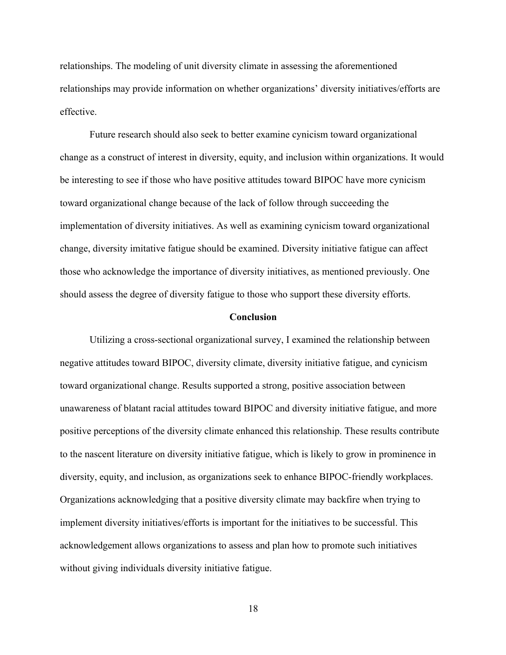relationships. The modeling of unit diversity climate in assessing the aforementioned relationships may provide information on whether organizations' diversity initiatives/efforts are effective.

Future research should also seek to better examine cynicism toward organizational change as a construct of interest in diversity, equity, and inclusion within organizations. It would be interesting to see if those who have positive attitudes toward BIPOC have more cynicism toward organizational change because of the lack of follow through succeeding the implementation of diversity initiatives. As well as examining cynicism toward organizational change, diversity imitative fatigue should be examined. Diversity initiative fatigue can affect those who acknowledge the importance of diversity initiatives, as mentioned previously. One should assess the degree of diversity fatigue to those who support these diversity efforts.

#### **Conclusion**

Utilizing a cross-sectional organizational survey, I examined the relationship between negative attitudes toward BIPOC, diversity climate, diversity initiative fatigue, and cynicism toward organizational change. Results supported a strong, positive association between unawareness of blatant racial attitudes toward BIPOC and diversity initiative fatigue, and more positive perceptions of the diversity climate enhanced this relationship. These results contribute to the nascent literature on diversity initiative fatigue, which is likely to grow in prominence in diversity, equity, and inclusion, as organizations seek to enhance BIPOC-friendly workplaces. Organizations acknowledging that a positive diversity climate may backfire when trying to implement diversity initiatives/efforts is important for the initiatives to be successful. This acknowledgement allows organizations to assess and plan how to promote such initiatives without giving individuals diversity initiative fatigue.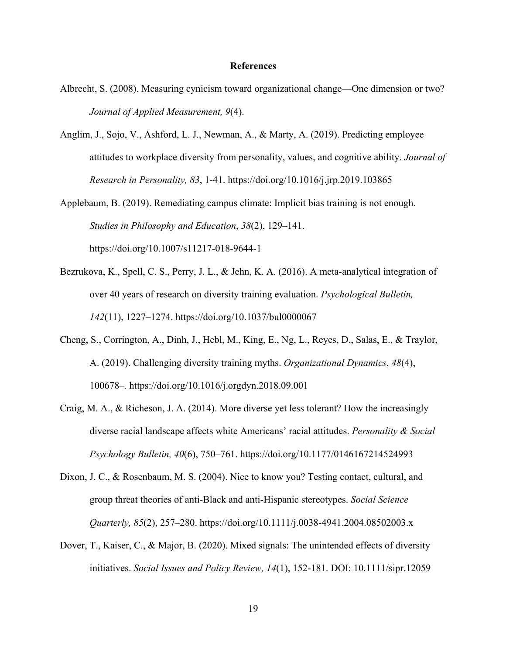#### **References**

- Albrecht, S. (2008). Measuring cynicism toward organizational change—One dimension or two? *Journal of Applied Measurement, 9*(4).
- Anglim, J., Sojo, V., Ashford, L. J., Newman, A., & Marty, A. (2019). Predicting employee attitudes to workplace diversity from personality, values, and cognitive ability. *Journal of Research in Personality, 83*, 1-41. https://doi.org/10.1016/j.jrp.2019.103865
- Applebaum, B. (2019). Remediating campus climate: Implicit bias training is not enough. *Studies in Philosophy and Education*, *38*(2), 129–141. https://doi.org/10.1007/s11217-018-9644-1
- Bezrukova, K., Spell, C. S., Perry, J. L., & Jehn, K. A. (2016). A meta-analytical integration of over 40 years of research on diversity training evaluation. *Psychological Bulletin, 142*(11), 1227–1274. https://doi.org/10.1037/bul0000067
- Cheng, S., Corrington, A., Dinh, J., Hebl, M., King, E., Ng, L., Reyes, D., Salas, E., & Traylor, A. (2019). Challenging diversity training myths. *Organizational Dynamics*, *48*(4), 100678–. https://doi.org/10.1016/j.orgdyn.2018.09.001
- Craig, M. A., & Richeson, J. A. (2014). More diverse yet less tolerant? How the increasingly diverse racial landscape affects white Americans' racial attitudes. *Personality & Social Psychology Bulletin, 40*(6), 750–761. https://doi.org/10.1177/0146167214524993
- Dixon, J. C., & Rosenbaum, M. S. (2004). Nice to know you? Testing contact, cultural, and group threat theories of anti-Black and anti-Hispanic stereotypes. *Social Science Quarterly, 85*(2), 257–280. https://doi.org/10.1111/j.0038-4941.2004.08502003.x
- Dover, T., Kaiser, C., & Major, B. (2020). Mixed signals: The unintended effects of diversity initiatives. *Social Issues and Policy Review, 14*(1), 152-181. DOI: 10.1111/sipr.12059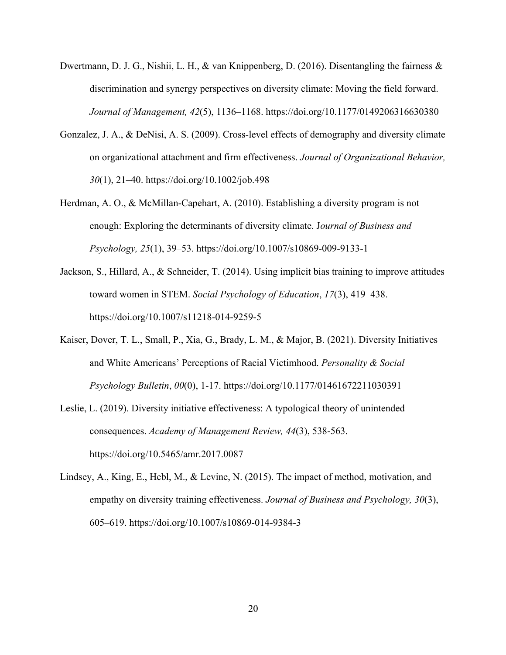- Dwertmann, D. J. G., Nishii, L. H., & van Knippenberg, D. (2016). Disentangling the fairness & discrimination and synergy perspectives on diversity climate: Moving the field forward. *Journal of Management, 42*(5), 1136–1168. https://doi.org/10.1177/0149206316630380
- Gonzalez, J. A., & DeNisi, A. S. (2009). Cross-level effects of demography and diversity climate on organizational attachment and firm effectiveness. *Journal of Organizational Behavior, 30*(1), 21–40. https://doi.org/10.1002/job.498
- Herdman, A. O., & McMillan-Capehart, A. (2010). Establishing a diversity program is not enough: Exploring the determinants of diversity climate. J*ournal of Business and Psychology, 25*(1), 39–53. https://doi.org/10.1007/s10869-009-9133-1
- Jackson, S., Hillard, A., & Schneider, T. (2014). Using implicit bias training to improve attitudes toward women in STEM. *Social Psychology of Education*, *17*(3), 419–438. https://doi.org/10.1007/s11218-014-9259-5
- Kaiser, Dover, T. L., Small, P., Xia, G., Brady, L. M., & Major, B. (2021). Diversity Initiatives and White Americans' Perceptions of Racial Victimhood. *Personality & Social Psychology Bulletin*, *00*(0), 1-17. https://doi.org/10.1177/01461672211030391
- Leslie, L. (2019). Diversity initiative effectiveness: A typological theory of unintended consequences. *Academy of Management Review, 44*(3), 538-563. https://doi.org/10.5465/amr.2017.0087
- Lindsey, A., King, E., Hebl, M., & Levine, N. (2015). The impact of method, motivation, and empathy on diversity training effectiveness. *Journal of Business and Psychology, 30*(3), 605–619. https://doi.org/10.1007/s10869-014-9384-3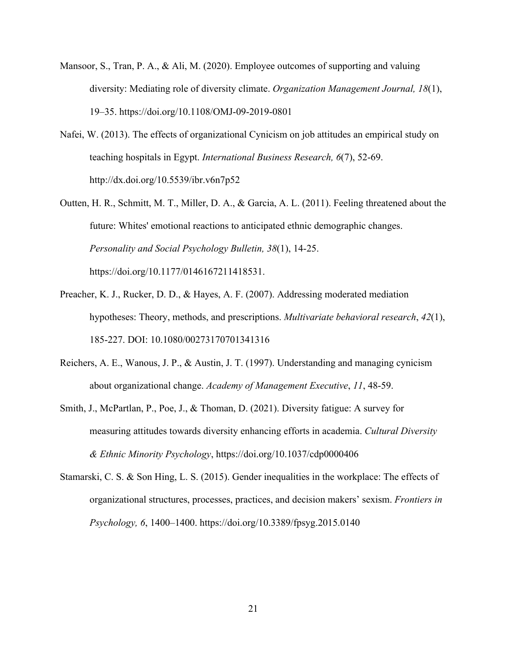- Mansoor, S., Tran, P. A., & Ali, M. (2020). Employee outcomes of supporting and valuing diversity: Mediating role of diversity climate. *Organization Management Journal, 18*(1), 19–35. https://doi.org/10.1108/OMJ-09-2019-0801
- Nafei, W. (2013). The effects of organizational Cynicism on job attitudes an empirical study on teaching hospitals in Egypt. *International Business Research, 6*(7), 52-69. http://dx.doi.org/10.5539/ibr.v6n7p52
- Outten, H. R., Schmitt, M. T., Miller, D. A., & Garcia, A. L. (2011). Feeling threatened about the future: Whites' emotional reactions to anticipated ethnic demographic changes. *Personality and Social Psychology Bulletin, 38*(1), 14-25. https://doi.org/10.1177/0146167211418531.
- Preacher, K. J., Rucker, D. D., & Hayes, A. F. (2007). Addressing moderated mediation hypotheses: Theory, methods, and prescriptions. *Multivariate behavioral research*, *42*(1), 185-227. DOI: 10.1080/00273170701341316
- Reichers, A. E., Wanous, J. P., & Austin, J. T. (1997). Understanding and managing cynicism about organizational change. *Academy of Management Executive*, *11*, 48-59.
- Smith, J., McPartlan, P., Poe, J., & Thoman, D. (2021). Diversity fatigue: A survey for measuring attitudes towards diversity enhancing efforts in academia. *Cultural Diversity & Ethnic Minority Psychology*, https://doi.org/10.1037/cdp0000406
- Stamarski, C. S. & Son Hing, L. S. (2015). Gender inequalities in the workplace: The effects of organizational structures, processes, practices, and decision makers' sexism. *Frontiers in Psychology, 6*, 1400–1400. https://doi.org/10.3389/fpsyg.2015.0140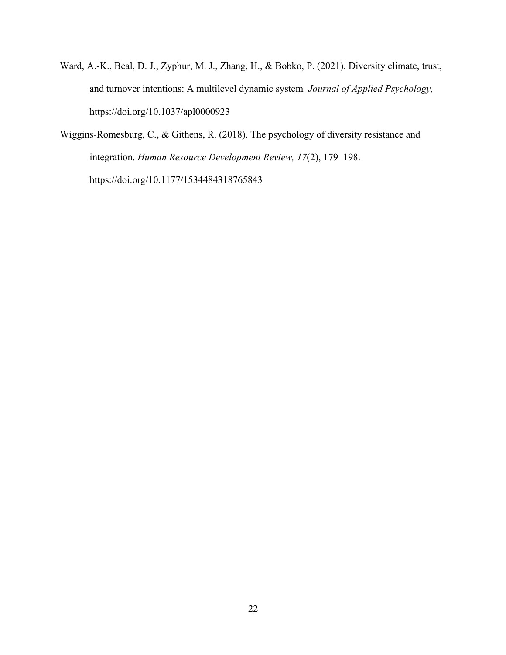- Ward, A.-K., Beal, D. J., Zyphur, M. J., Zhang, H., & Bobko, P. (2021). Diversity climate, trust, and turnover intentions: A multilevel dynamic system*. Journal of Applied Psychology,* https://doi.org/10.1037/apl0000923
- Wiggins-Romesburg, C., & Githens, R. (2018). The psychology of diversity resistance and integration. *Human Resource Development Review, 17*(2), 179–198. https://doi.org/10.1177/1534484318765843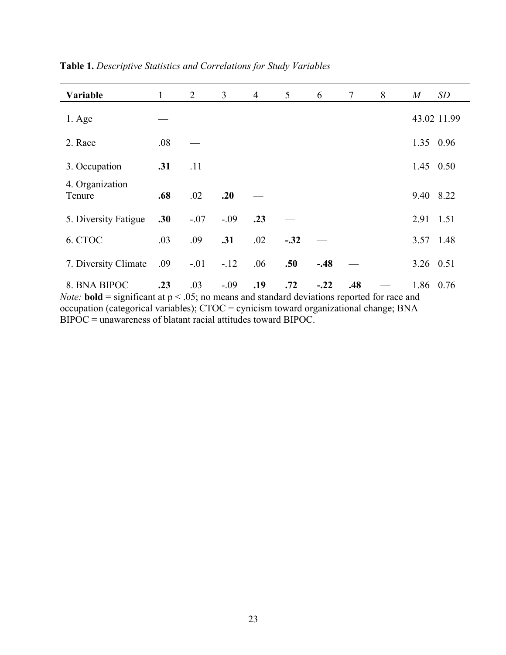| Variable                  | $\mathbf{1}$ | 2      | 3      | $\overline{4}$ | 5      | 6      | $\tau$ | 8 | $\boldsymbol{M}$ | SD          |
|---------------------------|--------------|--------|--------|----------------|--------|--------|--------|---|------------------|-------------|
| $1. \text{Age}$           |              |        |        |                |        |        |        |   |                  | 43.02 11.99 |
| 2. Race                   | .08          |        |        |                |        |        |        |   |                  | 1.35 0.96   |
| 3. Occupation             | .31          | .11    |        |                |        |        |        |   |                  | 1.45 0.50   |
| 4. Organization<br>Tenure | .68          | .02    | .20    |                |        |        |        |   |                  | 9.40 8.22   |
| 5. Diversity Fatigue      | .30          | $-.07$ | $-.09$ | .23            |        |        |        |   |                  | 2.91 1.51   |
| 6. CTOC                   | .03          | .09    | .31    | .02            | $-.32$ |        |        |   |                  | 3.57 1.48   |
| 7. Diversity Climate      | .09          | $-.01$ | $-12$  | .06            | .50    | $-.48$ |        |   |                  | 3.26 0.51   |
| 8. BNA BIPOC              | .23          | .03    | $-.09$ | .19            | .72    | $-.22$ | .48    |   |                  | 1.86 0.76   |

**Table 1.** *Descriptive Statistics and Correlations for Study Variables*

*Note:* **bold** = significant at  $p < .05$ ; no means and standard deviations reported for race and occupation (categorical variables); CTOC = cynicism toward organizational change; BNA  $BIPOC =$  unawareness of blatant racial attitudes toward BIPOC.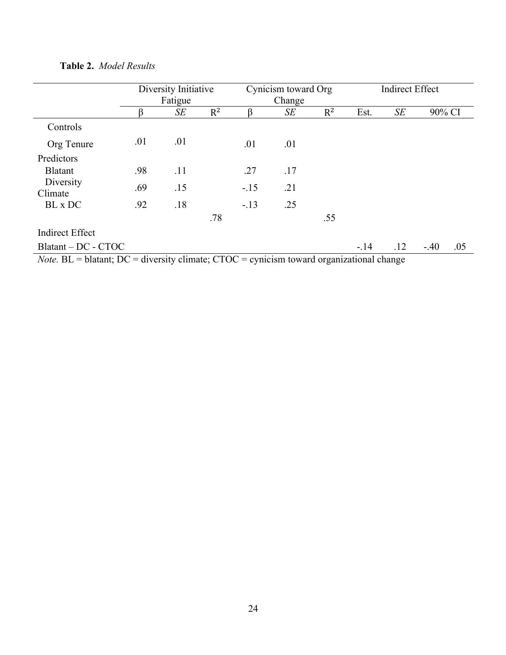|                                                                                                  | Diversity Initiative |         |       | Cynicism toward Org |        | <b>Indirect Effect</b> |        |     |        |     |
|--------------------------------------------------------------------------------------------------|----------------------|---------|-------|---------------------|--------|------------------------|--------|-----|--------|-----|
|                                                                                                  |                      | Fatigue |       |                     | Change |                        |        |     |        |     |
|                                                                                                  | ß                    | SЕ      | $R^2$ | ß                   | SE     | $R^2$                  | Est.   | SE  | 90% CI |     |
| Controls                                                                                         |                      |         |       |                     |        |                        |        |     |        |     |
| Org Tenure                                                                                       | .01                  | .01     |       | .01                 | .01    |                        |        |     |        |     |
| Predictors                                                                                       |                      |         |       |                     |        |                        |        |     |        |     |
| <b>Blatant</b>                                                                                   | .98                  | .11     |       | .27                 | .17    |                        |        |     |        |     |
| Diversity<br>Climate                                                                             | .69                  | .15     |       | $-.15$              | .21    |                        |        |     |        |     |
| BL x DC                                                                                          | .92                  | .18     |       | $-.13$              | .25    |                        |        |     |        |     |
|                                                                                                  |                      |         | .78   |                     |        | .55                    |        |     |        |     |
| <b>Indirect Effect</b>                                                                           |                      |         |       |                     |        |                        |        |     |        |     |
| $Blatant - DC - CTOC$                                                                            |                      |         |       |                     |        |                        | $-.14$ | .12 | $-.40$ | .05 |
| <i>Note</i> . BL = blatant; DC = diversity climate; CTOC = cynicism toward organizational change |                      |         |       |                     |        |                        |        |     |        |     |

**Table 2.** *Model Results*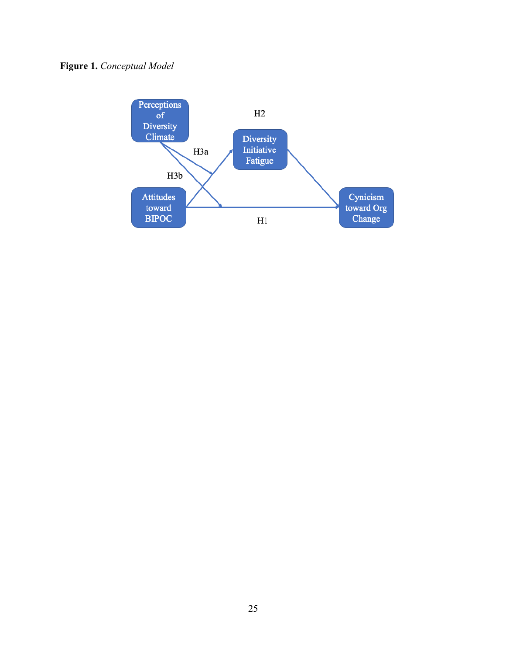## **Figure 1.** *Conceptual Model*

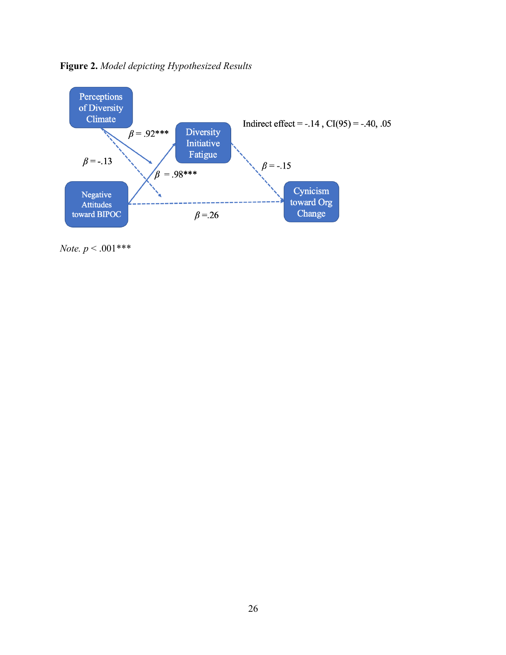



*Note. p* < .001\*\*\*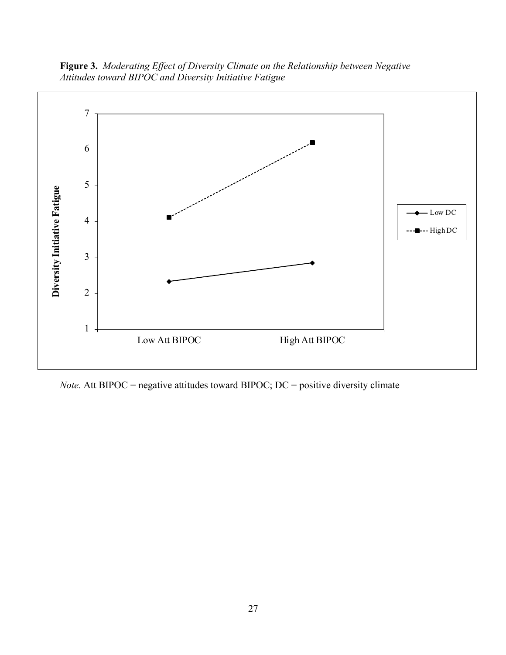**Figure 3.** *Moderating Effect of Diversity Climate on the Relationship between Negative Attitudes toward BIPOC and Diversity Initiative Fatigue*



*Note.* Att BIPOC = negative attitudes toward BIPOC; DC = positive diversity climate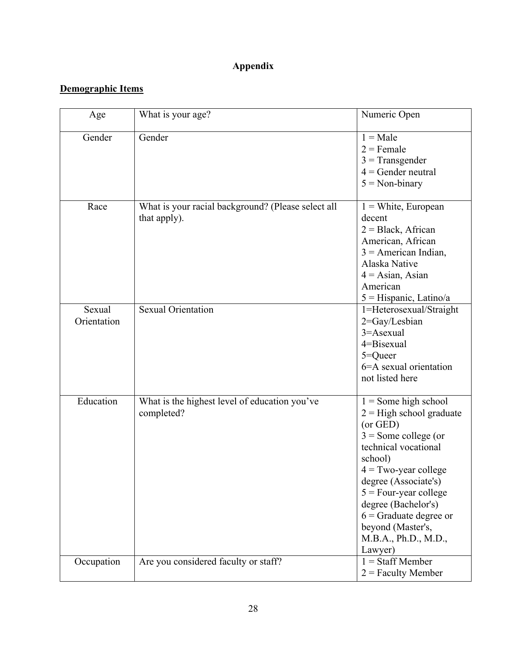## **Appendix**

## **Demographic Items**

| Age                   | What is your age?                                                  | Numeric Open                                                                                                                                                                                                                                                                                                          |
|-----------------------|--------------------------------------------------------------------|-----------------------------------------------------------------------------------------------------------------------------------------------------------------------------------------------------------------------------------------------------------------------------------------------------------------------|
| Gender                | Gender                                                             | $1 = Male$<br>$2$ = Female<br>$3$ = Transgender<br>$4 =$ Gender neutral<br>$5 = Non-binary$                                                                                                                                                                                                                           |
| Race                  | What is your racial background? (Please select all<br>that apply). | $1 =$ White, European<br>decent<br>$2 = Black, African$<br>American, African<br>$3$ = American Indian,<br>Alaska Native<br>$4 = \text{Asian}, \text{ Asian}$<br>American<br>$5 =$ Hispanic, Latino/a                                                                                                                  |
| Sexual<br>Orientation | <b>Sexual Orientation</b>                                          | 1=Heterosexual/Straight<br>2=Gay/Lesbian<br>3=Asexual<br>4=Bisexual<br>$5 =$ Queer<br>6=A sexual orientation<br>not listed here                                                                                                                                                                                       |
| Education             | What is the highest level of education you've<br>completed?        | $1 =$ Some high school<br>$2 =$ High school graduate<br>(or GED)<br>$3 =$ Some college (or<br>technical vocational<br>school)<br>$4 = Two-year college$<br>degree (Associate's)<br>$5 = Four-year college$<br>degree (Bachelor's)<br>$6$ = Graduate degree or<br>beyond (Master's,<br>M.B.A., Ph.D., M.D.,<br>Lawyer) |
| Occupation            | Are you considered faculty or staff?                               | $1 =$ Staff Member<br>$2$ = Faculty Member                                                                                                                                                                                                                                                                            |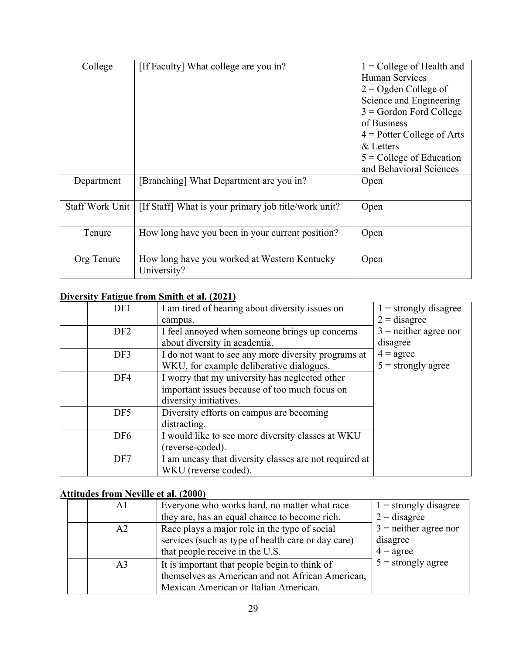| College         | [If Faculty] What college are you in?                       | $1 =$ College of Health and<br><b>Human Services</b><br>$2 =$ Ogden College of<br>Science and Engineering<br>$3 =$ Gordon Ford College<br>of Business<br>$4$ = Potter College of Arts<br>& Letters<br>$5 =$ College of Education<br>and Behavioral Sciences |
|-----------------|-------------------------------------------------------------|-------------------------------------------------------------------------------------------------------------------------------------------------------------------------------------------------------------------------------------------------------------|
| Department      | [Branching] What Department are you in?                     | Open                                                                                                                                                                                                                                                        |
| Staff Work Unit | [If Staff] What is your primary job title/work unit?        | Open                                                                                                                                                                                                                                                        |
| Tenure          | How long have you been in your current position?            | Open                                                                                                                                                                                                                                                        |
| Org Tenure      | How long have you worked at Western Kentucky<br>University? | Open                                                                                                                                                                                                                                                        |

## **Diversity Fatigue from Smith et al. (2021)**

| DF1             | I am tired of hearing about diversity issues on        | $1 =$ strongly disagree |
|-----------------|--------------------------------------------------------|-------------------------|
|                 | campus.                                                | $2 =$ disagree          |
| DF <sub>2</sub> | I feel annoyed when someone brings up concerns         | $3$ = neither agree nor |
|                 | about diversity in academia.                           | disagree                |
| DF3             | I do not want to see any more diversity programs at    | $4 = \text{agree}$      |
|                 | WKU, for example deliberative dialogues.               | $5 =$ strongly agree    |
| DF4             | I worry that my university has neglected other         |                         |
|                 | important issues because of too much focus on          |                         |
|                 | diversity initiatives.                                 |                         |
| DF <sub>5</sub> | Diversity efforts on campus are becoming               |                         |
|                 | distracting.                                           |                         |
| DF <sub>6</sub> | I would like to see more diversity classes at WKU      |                         |
|                 | (reverse-coded).                                       |                         |
| DF7             | I am uneasy that diversity classes are not required at |                         |
|                 | WKU (reverse coded).                                   |                         |

## **Attitudes from Neville et al. (2000)**

| A1             | Everyone who works hard, no matter what race       | $1 =$ strongly disagree |
|----------------|----------------------------------------------------|-------------------------|
|                | they are, has an equal chance to become rich.      | $2 =$ disagree          |
| A <sub>2</sub> | Race plays a major role in the type of social      | $3$ = neither agree nor |
|                | services (such as type of health care or day care) | disagree                |
|                | that people receive in the U.S.                    | $4 = \text{agree}$      |
| A <sub>3</sub> | It is important that people begin to think of      | $5 =$ strongly agree    |
|                | themselves as American and not African American,   |                         |
|                | Mexican American or Italian American.              |                         |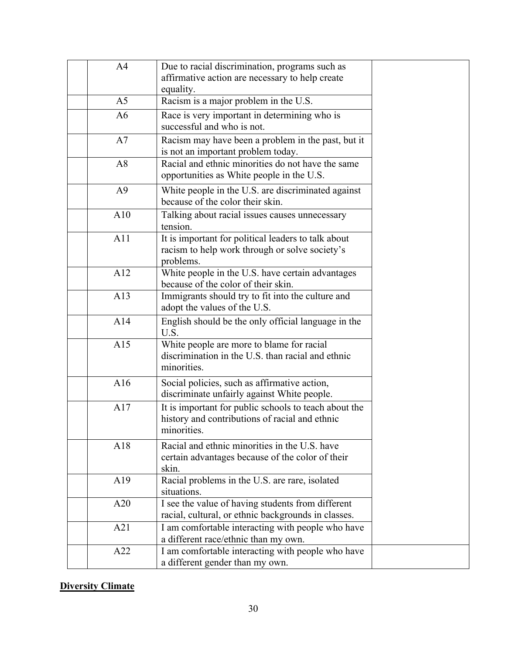| A <sub>4</sub> | Due to racial discrimination, programs such as              |  |
|----------------|-------------------------------------------------------------|--|
|                | affirmative action are necessary to help create             |  |
|                | equality.                                                   |  |
| A <sub>5</sub> | Racism is a major problem in the U.S.                       |  |
| A <sub>6</sub> | Race is very important in determining who is                |  |
|                | successful and who is not.                                  |  |
| A7             | Racism may have been a problem in the past, but it          |  |
|                | is not an important problem today.                          |  |
| A8             | Racial and ethnic minorities do not have the same           |  |
|                | opportunities as White people in the U.S.                   |  |
| A <sup>9</sup> | White people in the U.S. are discriminated against          |  |
|                | because of the color their skin.                            |  |
| A10            | Talking about racial issues causes unnecessary              |  |
|                | tension.                                                    |  |
| A11            | It is important for political leaders to talk about         |  |
|                | racism to help work through or solve society's              |  |
|                | problems.                                                   |  |
| A12            | White people in the U.S. have certain advantages            |  |
|                | because of the color of their skin.                         |  |
| A13            | Immigrants should try to fit into the culture and           |  |
|                | adopt the values of the U.S.                                |  |
| A14            | English should be the only official language in the<br>U.S. |  |
| A15            | White people are more to blame for racial                   |  |
|                | discrimination in the U.S. than racial and ethnic           |  |
|                | minorities.                                                 |  |
| A16            | Social policies, such as affirmative action,                |  |
|                | discriminate unfairly against White people.                 |  |
| A17            | It is important for public schools to teach about the       |  |
|                | history and contributions of racial and ethnic              |  |
|                | minorities.                                                 |  |
| A18            | Racial and ethnic minorities in the U.S. have               |  |
|                | certain advantages because of the color of their            |  |
|                | skin.                                                       |  |
| A19            | Racial problems in the U.S. are rare, isolated              |  |
|                | situations.                                                 |  |
| A20            | I see the value of having students from different           |  |
|                | racial, cultural, or ethnic backgrounds in classes.         |  |
| A21            | I am comfortable interacting with people who have           |  |
|                | a different race/ethnic than my own.                        |  |
| A22            | I am comfortable interacting with people who have           |  |
|                | a different gender than my own.                             |  |

## **Diversity Climate**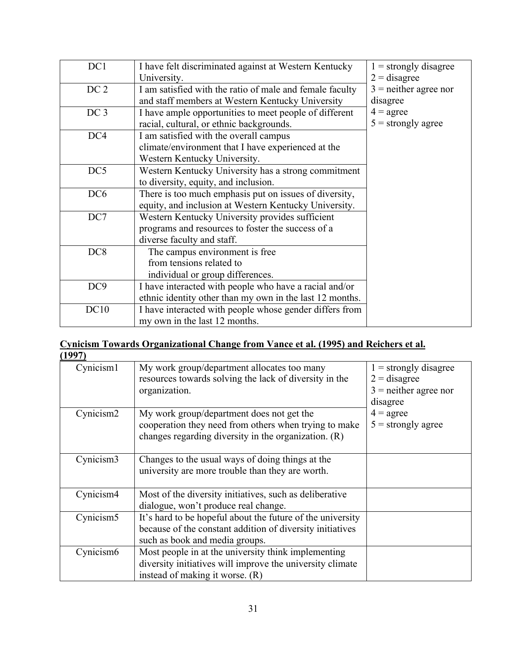| DC1             | I have felt discriminated against at Western Kentucky    | $1 =$ strongly disagree |
|-----------------|----------------------------------------------------------|-------------------------|
|                 | University.                                              | $2 =$ disagree          |
| DC <sub>2</sub> | I am satisfied with the ratio of male and female faculty | $3$ = neither agree nor |
|                 | and staff members at Western Kentucky University         | disagree                |
| DC <sub>3</sub> | I have ample opportunities to meet people of different   | $4 = \text{agree}$      |
|                 | racial, cultural, or ethnic backgrounds.                 | $5 =$ strongly agree    |
| DC4             | I am satisfied with the overall campus                   |                         |
|                 | climate/environment that I have experienced at the       |                         |
|                 | Western Kentucky University.                             |                         |
| DC5             | Western Kentucky University has a strong commitment      |                         |
|                 | to diversity, equity, and inclusion.                     |                         |
| DC <sub>6</sub> | There is too much emphasis put on issues of diversity,   |                         |
|                 | equity, and inclusion at Western Kentucky University.    |                         |
| DC7             | Western Kentucky University provides sufficient          |                         |
|                 | programs and resources to foster the success of a        |                         |
|                 | diverse faculty and staff.                               |                         |
| DC <sub>8</sub> | The campus environment is free                           |                         |
|                 | from tensions related to                                 |                         |
|                 | individual or group differences.                         |                         |
| DC <sub>9</sub> | I have interacted with people who have a racial and/or   |                         |
|                 | ethnic identity other than my own in the last 12 months. |                         |
| DC10            | I have interacted with people whose gender differs from  |                         |
|                 | my own in the last 12 months.                            |                         |

### **Cynicism Towards Organizational Change from Vance et al. (1995) and Reichers et al. (1997)**

| (エソソ / )              |                                                                                                                                                              |                                                                                  |
|-----------------------|--------------------------------------------------------------------------------------------------------------------------------------------------------------|----------------------------------------------------------------------------------|
| Cynicism1             | My work group/department allocates too many<br>resources towards solving the lack of diversity in the<br>organization.                                       | $1 =$ strongly disagree<br>$2 =$ disagree<br>$3$ = neither agree nor<br>disagree |
| Cynicism2             | My work group/department does not get the<br>cooperation they need from others when trying to make<br>changes regarding diversity in the organization. $(R)$ | $4 = \text{agree}$<br>$5 =$ strongly agree                                       |
| Cynicism3             | Changes to the usual ways of doing things at the<br>university are more trouble than they are worth.                                                         |                                                                                  |
| Cynicism4             | Most of the diversity initiatives, such as deliberative<br>dialogue, won't produce real change.                                                              |                                                                                  |
| Cynicism <sub>5</sub> | It's hard to be hopeful about the future of the university<br>because of the constant addition of diversity initiatives<br>such as book and media groups.    |                                                                                  |
| Cynicism <sub>6</sub> | Most people in at the university think implementing<br>diversity initiatives will improve the university climate<br>instead of making it worse. (R)          |                                                                                  |